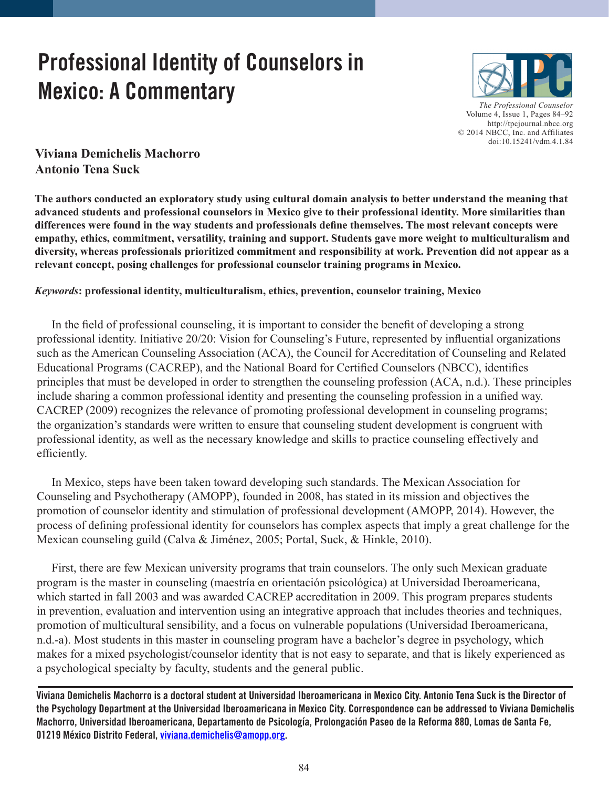# **Professional Identity of Counselors in Mexico: A Commentary**



*The Professional Counselor*  Vo[lume 4, Issue 1, Pages 84–92](http://tpcjournal.nbcc.org)  <http://tpcjournal.nbcc.org> © 2014 NBCC, Inc. and Affiliates doi:10.15241/vdm.4.1.84

**Viviana Demichelis Machorro Antonio Tena Suck**

**The authors conducted an exploratory study using cultural domain analysis to better understand the meaning that advanced students and professional counselors in Mexico give to their professional identity. More similarities than differences were found in the way students and professionals define themselves. The most relevant concepts were empathy, ethics, commitment, versatility, training and support. Students gave more weight to multiculturalism and diversity, whereas professionals prioritized commitment and responsibility at work. Prevention did not appear as a relevant concept, posing challenges for professional counselor training programs in Mexico.**

## *Keywords***: professional identity, multiculturalism, ethics, prevention, counselor training, Mexico**

 In the field of professional counseling, it is important to consider the benefit of developing a strong professional identity. Initiative 20/20: Vision for Counseling's Future, represented by influential organizations such as the American Counseling Association (ACA), the Council for Accreditation of Counseling and Related Educational Programs (CACREP), and the National Board for Certified Counselors (NBCC), identifies principles that must be developed in order to strengthen the counseling profession (ACA, n.d.). These principles include sharing a common professional identity and presenting the counseling profession in a unified way. CACREP (2009) recognizes the relevance of promoting professional development in counseling programs; the organization's standards were written to ensure that counseling student development is congruent with professional identity, as well as the necessary knowledge and skills to practice counseling effectively and efficiently.

 In Mexico, steps have been taken toward developing such standards. The Mexican Association for Counseling and Psychotherapy (AMOPP), founded in 2008, has stated in its mission and objectives the promotion of counselor identity and stimulation of professional development (AMOPP, 2014). However, the process of defining professional identity for counselors has complex aspects that imply a great challenge for the Mexican counseling guild (Calva & Jiménez, 2005; Portal, Suck, & Hinkle, 2010).

 First, there are few Mexican university programs that train counselors. The only such Mexican graduate program is the master in counseling (maestría en orientación psicológica) at Universidad Iberoamericana, which started in fall 2003 and was awarded CACREP accreditation in 2009. This program prepares students in prevention, evaluation and intervention using an integrative approach that includes theories and techniques, promotion of multicultural sensibility, and a focus on vulnerable populations (Universidad Iberoamericana, n.d.-a). Most students in this master in counseling program have a bachelor's degree in psychology, which makes for a mixed psychologist/counselor identity that is not easy to separate, and that is likely experienced as a psychological specialty by faculty, students and the general public.

**Viviana Demichelis Machorro is a doctoral student at Universidad Iberoamericana in Mexico City. Antonio Tena Suck is the Director of the Psychology Department at the Universidad Iberoamericana in Mexico City. Correspondence can be addressed to Viviana Demichelis Machorro, Universidad Iberoamericana, Departamento de Psicología, Prolongación Paseo de la Reforma 880, Lomas de Santa Fe, 01219 México Distrito Federal, [viviana.demichelis@amopp.org.](mailto:viviana.demichelis@amopp.org)**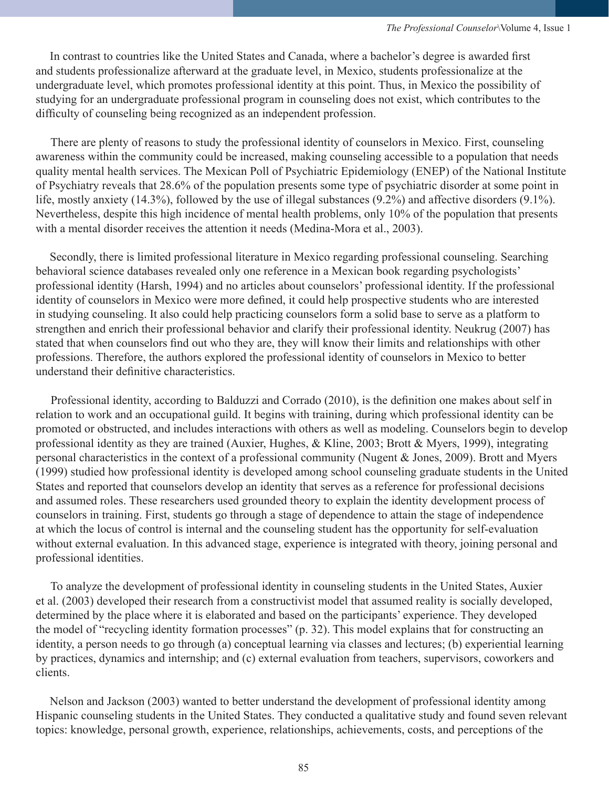In contrast to countries like the United States and Canada, where a bachelor's degree is awarded first and students professionalize afterward at the graduate level, in Mexico, students professionalize at the undergraduate level, which promotes professional identity at this point. Thus, in Mexico the possibility of studying for an undergraduate professional program in counseling does not exist, which contributes to the difficulty of counseling being recognized as an independent profession.

 There are plenty of reasons to study the professional identity of counselors in Mexico. First, counseling awareness within the community could be increased, making counseling accessible to a population that needs quality mental health services. The Mexican Poll of Psychiatric Epidemiology (ENEP) of the National Institute of Psychiatry reveals that 28.6% of the population presents some type of psychiatric disorder at some point in life, mostly anxiety (14.3%), followed by the use of illegal substances (9.2%) and affective disorders (9.1%). Nevertheless, despite this high incidence of mental health problems, only 10% of the population that presents with a mental disorder receives the attention it needs (Medina-Mora et al., 2003).

Secondly, there is limited professional literature in Mexico regarding professional counseling. Searching behavioral science databases revealed only one reference in a Mexican book regarding psychologists' professional identity (Harsh, 1994) and no articles about counselors' professional identity. If the professional identity of counselors in Mexico were more defined, it could help prospective students who are interested in studying counseling. It also could help practicing counselors form a solid base to serve as a platform to strengthen and enrich their professional behavior and clarify their professional identity. Neukrug (2007) has stated that when counselors find out who they are, they will know their limits and relationships with other professions. Therefore, the authors explored the professional identity of counselors in Mexico to better understand their definitive characteristics.

 Professional identity, according to Balduzzi and Corrado (2010), is the definition one makes about self in relation to work and an occupational guild. It begins with training, during which professional identity can be promoted or obstructed, and includes interactions with others as well as modeling. Counselors begin to develop professional identity as they are trained (Auxier, Hughes, & Kline, 2003; Brott & Myers, 1999), integrating personal characteristics in the context of a professional community (Nugent & Jones, 2009). Brott and Myers (1999) studied how professional identity is developed among school counseling graduate students in the United States and reported that counselors develop an identity that serves as a reference for professional decisions and assumed roles. These researchers used grounded theory to explain the identity development process of counselors in training. First, students go through a stage of dependence to attain the stage of independence at which the locus of control is internal and the counseling student has the opportunity for self-evaluation without external evaluation. In this advanced stage, experience is integrated with theory, joining personal and professional identities.

 To analyze the development of professional identity in counseling students in the United States, Auxier et al. (2003) developed their research from a constructivist model that assumed reality is socially developed, determined by the place where it is elaborated and based on the participants' experience. They developed the model of "recycling identity formation processes" (p. 32). This model explains that for constructing an identity, a person needs to go through (a) conceptual learning via classes and lectures; (b) experiential learning by practices, dynamics and internship; and (c) external evaluation from teachers, supervisors, coworkers and clients.

Nelson and Jackson (2003) wanted to better understand the development of professional identity among Hispanic counseling students in the United States. They conducted a qualitative study and found seven relevant topics: knowledge, personal growth, experience, relationships, achievements, costs, and perceptions of the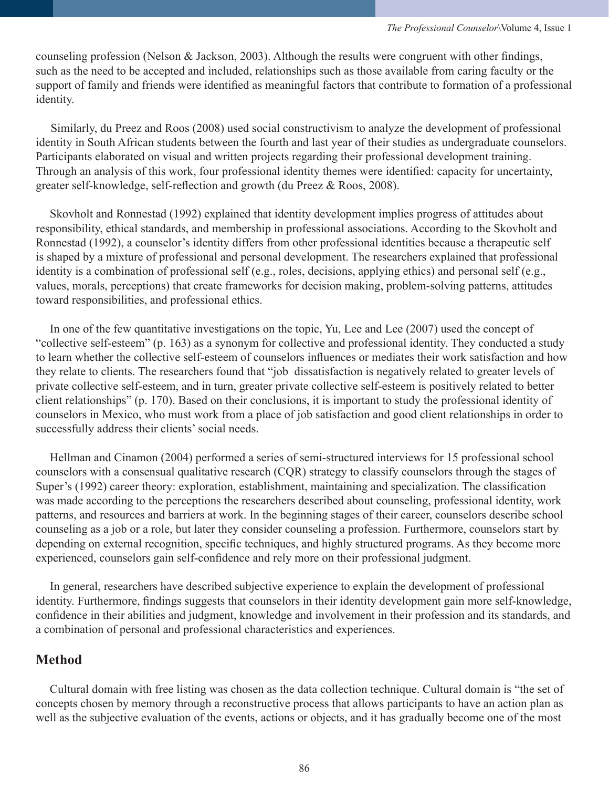counseling profession (Nelson & Jackson, 2003). Although the results were congruent with other findings, such as the need to be accepted and included, relationships such as those available from caring faculty or the support of family and friends were identified as meaningful factors that contribute to formation of a professional identity.

 Similarly, du Preez and Roos (2008) used social constructivism to analyze the development of professional identity in South African students between the fourth and last year of their studies as undergraduate counselors. Participants elaborated on visual and written projects regarding their professional development training. Through an analysis of this work, four professional identity themes were identified: capacity for uncertainty, greater self-knowledge, self-reflection and growth (du Preez & Roos, 2008).

Skovholt and Ronnestad (1992) explained that identity development implies progress of attitudes about responsibility, ethical standards, and membership in professional associations. According to the Skovholt and Ronnestad (1992), a counselor's identity differs from other professional identities because a therapeutic self is shaped by a mixture of professional and personal development. The researchers explained that professional identity is a combination of professional self (e.g., roles, decisions, applying ethics) and personal self (e.g., values, morals, perceptions) that create frameworks for decision making, problem-solving patterns, attitudes toward responsibilities, and professional ethics.

In one of the few quantitative investigations on the topic, Yu, Lee and Lee (2007) used the concept of "collective self-esteem" (p. 163) as a synonym for collective and professional identity. They conducted a study to learn whether the collective self-esteem of counselors influences or mediates their work satisfaction and how they relate to clients. The researchers found that "job dissatisfaction is negatively related to greater levels of private collective self-esteem, and in turn, greater private collective self-esteem is positively related to better client relationships" (p. 170). Based on their conclusions, it is important to study the professional identity of counselors in Mexico, who must work from a place of job satisfaction and good client relationships in order to successfully address their clients' social needs.

Hellman and Cinamon (2004) performed a series of semi-structured interviews for 15 professional school counselors with a consensual qualitative research (CQR) strategy to classify counselors through the stages of Super's (1992) career theory: exploration, establishment, maintaining and specialization. The classification was made according to the perceptions the researchers described about counseling, professional identity, work patterns, and resources and barriers at work. In the beginning stages of their career, counselors describe school counseling as a job or a role, but later they consider counseling a profession. Furthermore, counselors start by depending on external recognition, specific techniques, and highly structured programs. As they become more experienced, counselors gain self-confidence and rely more on their professional judgment.

In general, researchers have described subjective experience to explain the development of professional identity. Furthermore, findings suggests that counselors in their identity development gain more self-knowledge, confidence in their abilities and judgment, knowledge and involvement in their profession and its standards, and a combination of personal and professional characteristics and experiences.

# **Method**

Cultural domain with free listing was chosen as the data collection technique. Cultural domain is "the set of concepts chosen by memory through a reconstructive process that allows participants to have an action plan as well as the subjective evaluation of the events, actions or objects, and it has gradually become one of the most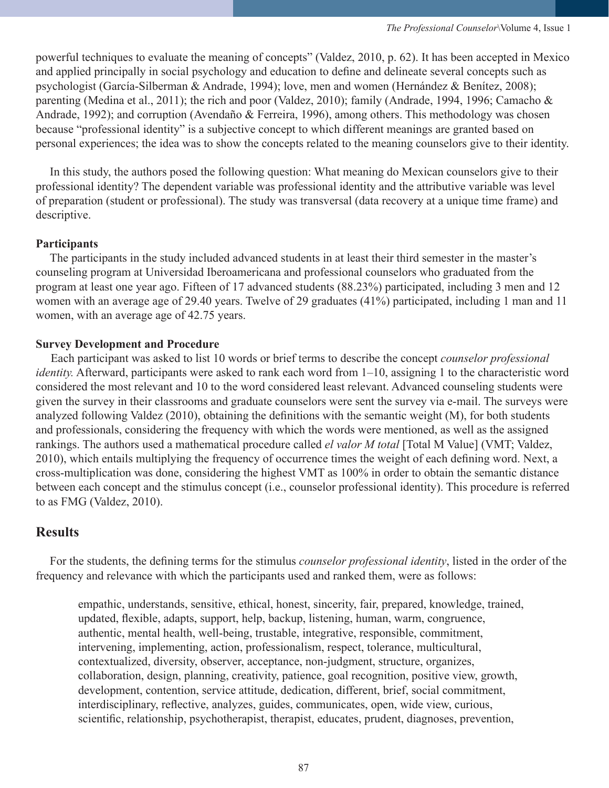powerful techniques to evaluate the meaning of concepts" (Valdez, 2010, p. 62). It has been accepted in Mexico and applied principally in social psychology and education to define and delineate several concepts such as psychologist (García-Silberman & Andrade, 1994); love, men and women (Hernández & Benítez, 2008); parenting (Medina et al., 2011); the rich and poor (Valdez, 2010); family (Andrade, 1994, 1996; Camacho & Andrade, 1992); and corruption (Avendaño & Ferreira, 1996), among others. This methodology was chosen because "professional identity" is a subjective concept to which different meanings are granted based on personal experiences; the idea was to show the concepts related to the meaning counselors give to their identity.

In this study, the authors posed the following question: What meaning do Mexican counselors give to their professional identity? The dependent variable was professional identity and the attributive variable was level of preparation (student or professional). The study was transversal (data recovery at a unique time frame) and descriptive.

## **Participants**

The participants in the study included advanced students in at least their third semester in the master's counseling program at Universidad Iberoamericana and professional counselors who graduated from the program at least one year ago. Fifteen of 17 advanced students (88.23%) participated, including 3 men and 12 women with an average age of 29.40 years. Twelve of 29 graduates (41%) participated, including 1 man and 11 women, with an average age of 42.75 years.

## **Survey Development and Procedure**

 Each participant was asked to list 10 words or brief terms to describe the concept *counselor professional identity.* Afterward, participants were asked to rank each word from 1–10, assigning 1 to the characteristic word considered the most relevant and 10 to the word considered least relevant. Advanced counseling students were given the survey in their classrooms and graduate counselors were sent the survey via e-mail. The surveys were analyzed following Valdez (2010), obtaining the definitions with the semantic weight (M), for both students and professionals, considering the frequency with which the words were mentioned, as well as the assigned rankings. The authors used a mathematical procedure called *el valor M total* [Total M Value] (VMT; Valdez, 2010), which entails multiplying the frequency of occurrence times the weight of each defining word. Next, a cross-multiplication was done, considering the highest VMT as 100% in order to obtain the semantic distance between each concept and the stimulus concept (i.e., counselor professional identity). This procedure is referred to as FMG (Valdez, 2010).

# **Results**

For the students, the defining terms for the stimulus *counselor professional identity*, listed in the order of the frequency and relevance with which the participants used and ranked them, were as follows:

empathic, understands, sensitive, ethical, honest, sincerity, fair, prepared, knowledge, trained, updated, flexible, adapts, support, help, backup, listening, human, warm, congruence, authentic, mental health, well-being, trustable, integrative, responsible, commitment, intervening, implementing, action, professionalism, respect, tolerance, multicultural, contextualized, diversity, observer, acceptance, non-judgment, structure, organizes, collaboration, design, planning, creativity, patience, goal recognition, positive view, growth, development, contention, service attitude, dedication, different, brief, social commitment, interdisciplinary, reflective, analyzes, guides, communicates, open, wide view, curious, scientific, relationship, psychotherapist, therapist, educates, prudent, diagnoses, prevention,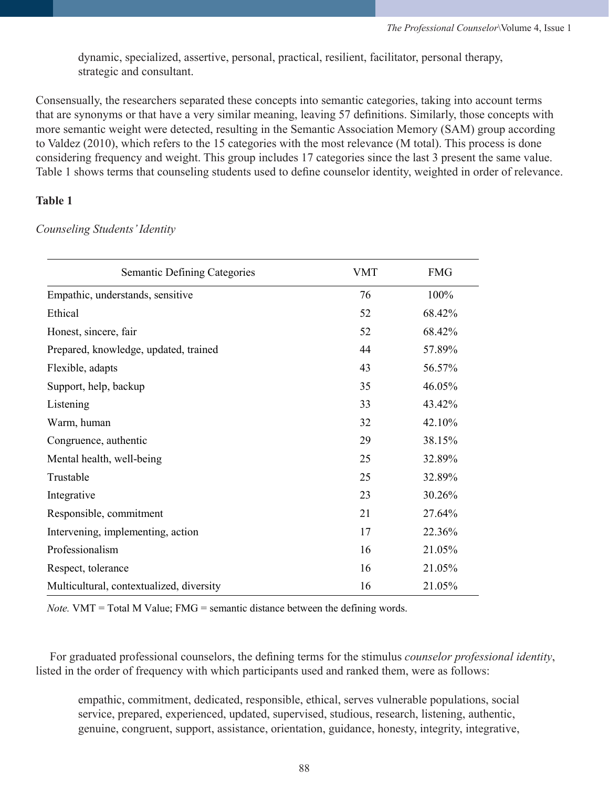dynamic, specialized, assertive, personal, practical, resilient, facilitator, personal therapy, strategic and consultant.

Consensually, the researchers separated these concepts into semantic categories, taking into account terms that are synonyms or that have a very similar meaning, leaving 57 definitions. Similarly, those concepts with more semantic weight were detected, resulting in the Semantic Association Memory (SAM) group according to Valdez (2010), which refers to the 15 categories with the most relevance (M total). This process is done considering frequency and weight. This group includes 17 categories since the last 3 present the same value. Table 1 shows terms that counseling students used to define counselor identity, weighted in order of relevance.

## **Table 1**

*Counseling Students' Identity*

| <b>Semantic Defining Categories</b>      | VMT | <b>FMG</b> |
|------------------------------------------|-----|------------|
| Empathic, understands, sensitive         | 76  | 100%       |
| Ethical                                  | 52  | 68.42%     |
| Honest, sincere, fair                    | 52  | 68.42%     |
| Prepared, knowledge, updated, trained    | 44  | 57.89%     |
| Flexible, adapts                         | 43  | 56.57%     |
| Support, help, backup                    | 35  | 46.05%     |
| Listening                                | 33  | 43.42%     |
| Warm, human                              | 32  | 42.10%     |
| Congruence, authentic                    | 29  | 38.15%     |
| Mental health, well-being                | 25  | 32.89%     |
| Trustable                                | 25  | 32.89%     |
| Integrative                              | 23  | 30.26%     |
| Responsible, commitment                  | 21  | 27.64%     |
| Intervening, implementing, action        | 17  | 22.36%     |
| Professionalism                          | 16  | 21.05%     |
| Respect, tolerance                       | 16  | 21.05%     |
| Multicultural, contextualized, diversity | 16  | 21.05%     |

*Note.* VMT = Total M Value; FMG = semantic distance between the defining words.

For graduated professional counselors, the defining terms for the stimulus *counselor professional identity*, listed in the order of frequency with which participants used and ranked them, were as follows:

empathic, commitment, dedicated, responsible, ethical, serves vulnerable populations, social service, prepared, experienced, updated, supervised, studious, research, listening, authentic, genuine, congruent, support, assistance, orientation, guidance, honesty, integrity, integrative,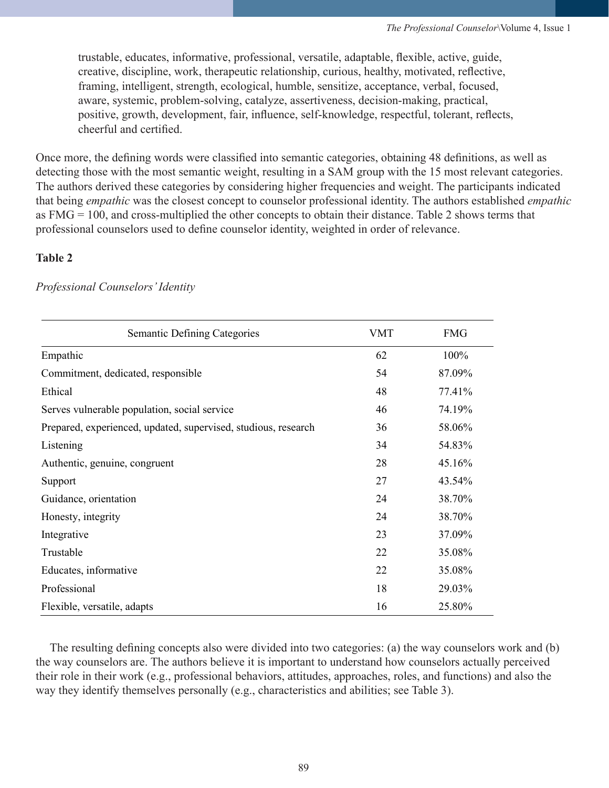trustable, educates, informative, professional, versatile, adaptable, flexible, active, guide, creative, discipline, work, therapeutic relationship, curious, healthy, motivated, reflective, framing, intelligent, strength, ecological, humble, sensitize, acceptance, verbal, focused, aware, systemic, problem-solving, catalyze, assertiveness, decision-making, practical, positive, growth, development, fair, influence, self-knowledge, respectful, tolerant, reflects, cheerful and certified.

Once more, the defining words were classified into semantic categories, obtaining 48 definitions, as well as detecting those with the most semantic weight, resulting in a SAM group with the 15 most relevant categories. The authors derived these categories by considering higher frequencies and weight. The participants indicated that being *empathic* was the closest concept to counselor professional identity. The authors established *empathic* as FMG = 100, and cross-multiplied the other concepts to obtain their distance. Table 2 shows terms that professional counselors used to define counselor identity, weighted in order of relevance.

## **Table 2**

| <b>Semantic Defining Categories</b>                            | <b>VMT</b> | <b>FMG</b> |
|----------------------------------------------------------------|------------|------------|
| Empathic                                                       | 62         | 100%       |
| Commitment, dedicated, responsible                             | 54         | 87.09%     |
| Ethical                                                        | 48         | 77.41%     |
| Serves vulnerable population, social service                   | 46         | 74.19%     |
| Prepared, experienced, updated, supervised, studious, research | 36         | 58.06%     |
| Listening                                                      | 34         | 54.83%     |
| Authentic, genuine, congruent                                  | 28         | 45.16%     |
| Support                                                        | 27         | 43.54%     |
| Guidance, orientation                                          | 24         | 38.70%     |
| Honesty, integrity                                             | 24         | 38.70%     |
| Integrative                                                    | 23         | 37.09%     |
| Trustable                                                      | 22         | 35.08%     |
| Educates, informative                                          | 22         | 35.08%     |
| Professional                                                   | 18         | 29.03%     |
| Flexible, versatile, adapts                                    | 16         | 25.80%     |

*Professional Counselors' Identity*

The resulting defining concepts also were divided into two categories: (a) the way counselors work and (b) the way counselors are. The authors believe it is important to understand how counselors actually perceived their role in their work (e.g., professional behaviors, attitudes, approaches, roles, and functions) and also the way they identify themselves personally (e.g., characteristics and abilities; see Table 3).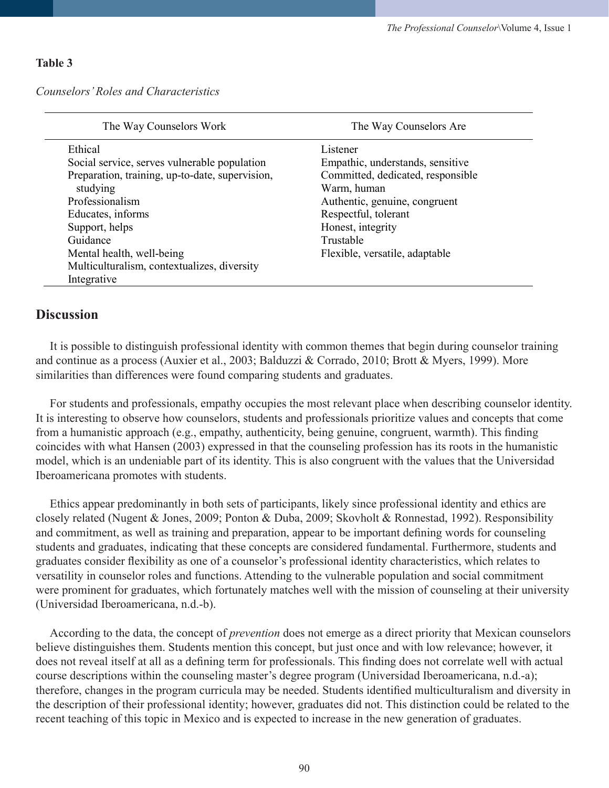#### **Table 3**

*Counselors' Roles and Characteristics* 

| The Way Counselors Work                         | The Way Counselors Are            |
|-------------------------------------------------|-----------------------------------|
| Ethical                                         | Listener                          |
| Social service, serves vulnerable population    | Empathic, understands, sensitive  |
| Preparation, training, up-to-date, supervision, | Committed, dedicated, responsible |
| studying                                        | Warm, human                       |
| Professionalism                                 | Authentic, genuine, congruent     |
| Educates, informs                               | Respectful, tolerant              |
| Support, helps                                  | Honest, integrity                 |
| Guidance                                        | Trustable                         |
| Mental health, well-being                       | Flexible, versatile, adaptable    |
| Multiculturalism, contextualizes, diversity     |                                   |
| Integrative                                     |                                   |

## **Discussion**

It is possible to distinguish professional identity with common themes that begin during counselor training and continue as a process (Auxier et al., 2003; Balduzzi & Corrado, 2010; Brott & Myers, 1999). More similarities than differences were found comparing students and graduates.

For students and professionals, empathy occupies the most relevant place when describing counselor identity. It is interesting to observe how counselors, students and professionals prioritize values and concepts that come from a humanistic approach (e.g., empathy, authenticity, being genuine, congruent, warmth). This finding coincides with what Hansen (2003) expressed in that the counseling profession has its roots in the humanistic model, which is an undeniable part of its identity. This is also congruent with the values that the Universidad Iberoamericana promotes with students.

Ethics appear predominantly in both sets of participants, likely since professional identity and ethics are closely related (Nugent & Jones, 2009; Ponton & Duba, 2009; Skovholt & Ronnestad, 1992). Responsibility and commitment, as well as training and preparation, appear to be important defining words for counseling students and graduates, indicating that these concepts are considered fundamental. Furthermore, students and graduates consider flexibility as one of a counselor's professional identity characteristics, which relates to versatility in counselor roles and functions. Attending to the vulnerable population and social commitment were prominent for graduates, which fortunately matches well with the mission of counseling at their university (Universidad Iberoamericana, n.d.-b).

According to the data, the concept of *prevention* does not emerge as a direct priority that Mexican counselors believe distinguishes them. Students mention this concept, but just once and with low relevance; however, it does not reveal itself at all as a defining term for professionals. This finding does not correlate well with actual course descriptions within the counseling master's degree program (Universidad Iberoamericana, n.d.-a); therefore, changes in the program curricula may be needed. Students identified multiculturalism and diversity in the description of their professional identity; however, graduates did not. This distinction could be related to the recent teaching of this topic in Mexico and is expected to increase in the new generation of graduates.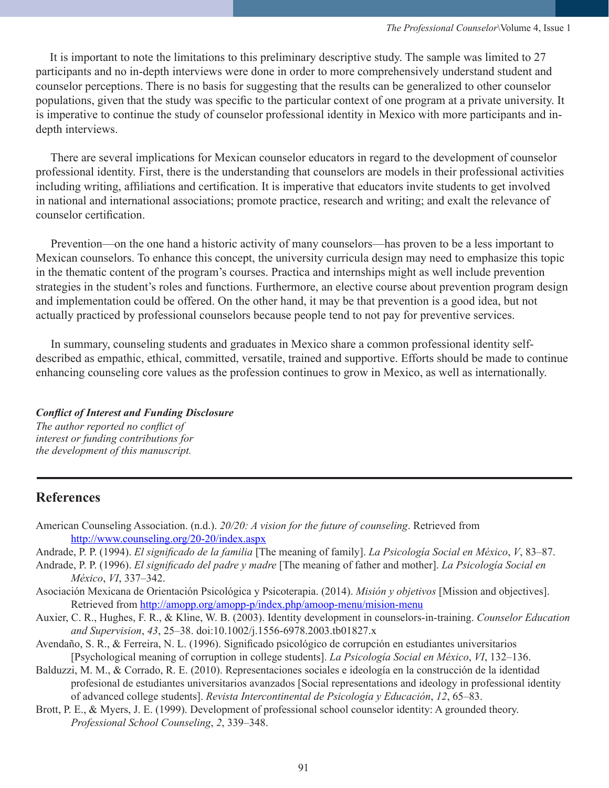It is important to note the limitations to this preliminary descriptive study. The sample was limited to 27 participants and no in-depth interviews were done in order to more comprehensively understand student and counselor perceptions. There is no basis for suggesting that the results can be generalized to other counselor populations, given that the study was specific to the particular context of one program at a private university. It is imperative to continue the study of counselor professional identity in Mexico with more participants and indepth interviews.

 There are several implications for Mexican counselor educators in regard to the development of counselor professional identity. First, there is the understanding that counselors are models in their professional activities including writing, affiliations and certification. It is imperative that educators invite students to get involved in national and international associations; promote practice, research and writing; and exalt the relevance of counselor certification.

 Prevention—on the one hand a historic activity of many counselors—has proven to be a less important to Mexican counselors. To enhance this concept, the university curricula design may need to emphasize this topic in the thematic content of the program's courses. Practica and internships might as well include prevention strategies in the student's roles and functions. Furthermore, an elective course about prevention program design and implementation could be offered. On the other hand, it may be that prevention is a good idea, but not actually practiced by professional counselors because people tend to not pay for preventive services.

 In summary, counseling students and graduates in Mexico share a common professional identity selfdescribed as empathic, ethical, committed, versatile, trained and supportive. Efforts should be made to continue enhancing counseling core values as the profession continues to grow in Mexico, as well as internationally.

## *Conflict of Interest and Funding Disclosure*

*The author reported no conflict of interest or funding contributions for the development of this manuscript.*

# **References**

- American Counseling Association. (n.d.). *20/20: A vision for the future of counseling*. Retrieved from <http://www.counseling.org/20-20/index.aspx>
- Andrade, P. P. (1994). *El significado de la familia* [The meaning of family]. *La Psicología Social en México*, *V*, 83–87.
- Andrade, P. P. (1996). *El significado del padre y madre* [The meaning of father and mother]. *La Psicología Social en México*, *VI*, 337–342.
- Asociación Mexicana de Orientación Psicológica y Psicoterapia. (2014). *Misión y objetivos* [Mission and objectives]. Retrieved from <http://amopp.org/amopp-p/index.php/amoop-menu/mision-menu>
- Auxier, C. R., Hughes, F. R., & Kline, W. B. (2003). Identity development in counselors-in-training. *Counselor Education and Supervision*, *43*, 25–38. doi:10.1002/j.1556-6978.2003.tb01827.x
- Avendaño, S. R., & Ferreira, N. L. (1996). Significado psicológico de corrupción en estudiantes universitarios [Psychological meaning of corruption in college students]. *La Psicología Social en México*, *VI*, 132–136.
- Balduzzi, M. M., & Corrado, R. E. (2010). Representaciones sociales e ideología en la construcción de la identidad profesional de estudiantes universitarios avanzados [Social representations and ideology in professional identity of advanced college students]. *Revista Intercontinental de Psicología y Educación*, *12*, 65–83.
- Brott, P. E., & Myers, J. E. (1999). Development of professional school counselor identity: A grounded theory. *Professional School Counseling*, *2*, 339–348.